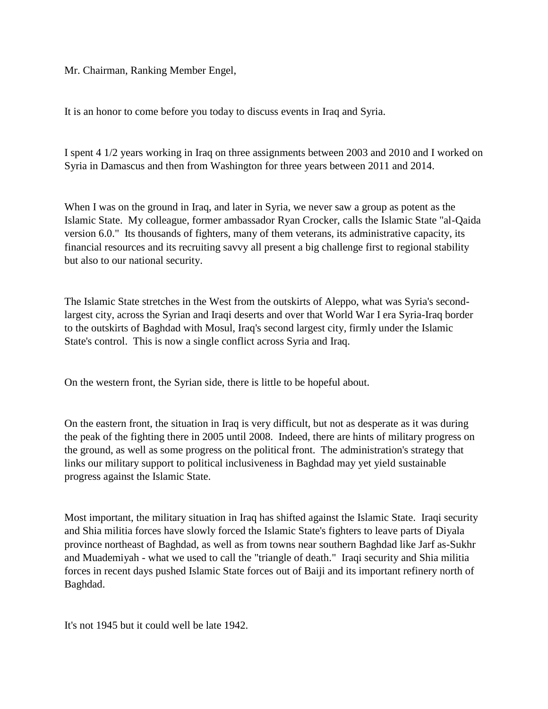Mr. Chairman, Ranking Member Engel,

It is an honor to come before you today to discuss events in Iraq and Syria.

I spent 4 1/2 years working in Iraq on three assignments between 2003 and 2010 and I worked on Syria in Damascus and then from Washington for three years between 2011 and 2014.

When I was on the ground in Iraq, and later in Syria, we never saw a group as potent as the Islamic State. My colleague, former ambassador Ryan Crocker, calls the Islamic State "al-Qaida version 6.0." Its thousands of fighters, many of them veterans, its administrative capacity, its financial resources and its recruiting savvy all present a big challenge first to regional stability but also to our national security.

The Islamic State stretches in the West from the outskirts of Aleppo, what was Syria's secondlargest city, across the Syrian and Iraqi deserts and over that World War I era Syria-Iraq border to the outskirts of Baghdad with Mosul, Iraq's second largest city, firmly under the Islamic State's control. This is now a single conflict across Syria and Iraq.

On the western front, the Syrian side, there is little to be hopeful about.

On the eastern front, the situation in Iraq is very difficult, but not as desperate as it was during the peak of the fighting there in 2005 until 2008. Indeed, there are hints of military progress on the ground, as well as some progress on the political front. The administration's strategy that links our military support to political inclusiveness in Baghdad may yet yield sustainable progress against the Islamic State.

Most important, the military situation in Iraq has shifted against the Islamic State. Iraqi security and Shia militia forces have slowly forced the Islamic State's fighters to leave parts of Diyala province northeast of Baghdad, as well as from towns near southern Baghdad like Jarf as-Sukhr and Muademiyah - what we used to call the "triangle of death." Iraqi security and Shia militia forces in recent days pushed Islamic State forces out of Baiji and its important refinery north of Baghdad.

It's not 1945 but it could well be late 1942.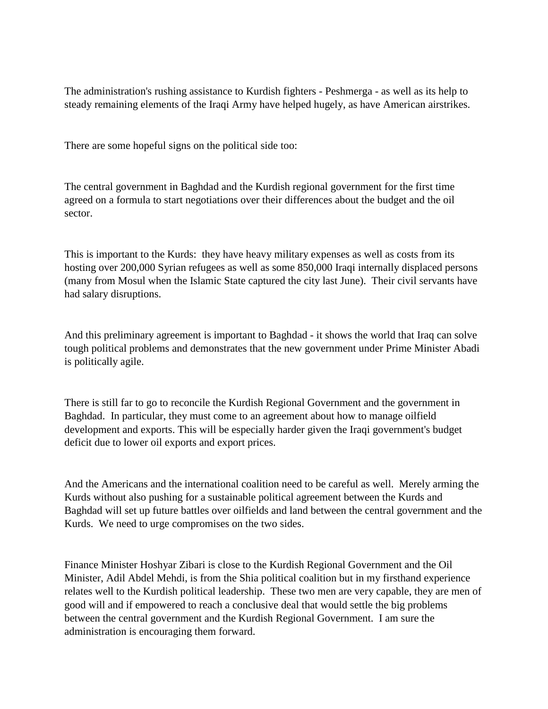The administration's rushing assistance to Kurdish fighters - Peshmerga - as well as its help to steady remaining elements of the Iraqi Army have helped hugely, as have American airstrikes.

There are some hopeful signs on the political side too:

The central government in Baghdad and the Kurdish regional government for the first time agreed on a formula to start negotiations over their differences about the budget and the oil sector.

This is important to the Kurds: they have heavy military expenses as well as costs from its hosting over 200,000 Syrian refugees as well as some 850,000 Iraqi internally displaced persons (many from Mosul when the Islamic State captured the city last June). Their civil servants have had salary disruptions.

And this preliminary agreement is important to Baghdad - it shows the world that Iraq can solve tough political problems and demonstrates that the new government under Prime Minister Abadi is politically agile.

There is still far to go to reconcile the Kurdish Regional Government and the government in Baghdad. In particular, they must come to an agreement about how to manage oilfield development and exports. This will be especially harder given the Iraqi government's budget deficit due to lower oil exports and export prices.

And the Americans and the international coalition need to be careful as well. Merely arming the Kurds without also pushing for a sustainable political agreement between the Kurds and Baghdad will set up future battles over oilfields and land between the central government and the Kurds. We need to urge compromises on the two sides.

Finance Minister Hoshyar Zibari is close to the Kurdish Regional Government and the Oil Minister, Adil Abdel Mehdi, is from the Shia political coalition but in my firsthand experience relates well to the Kurdish political leadership. These two men are very capable, they are men of good will and if empowered to reach a conclusive deal that would settle the big problems between the central government and the Kurdish Regional Government. I am sure the administration is encouraging them forward.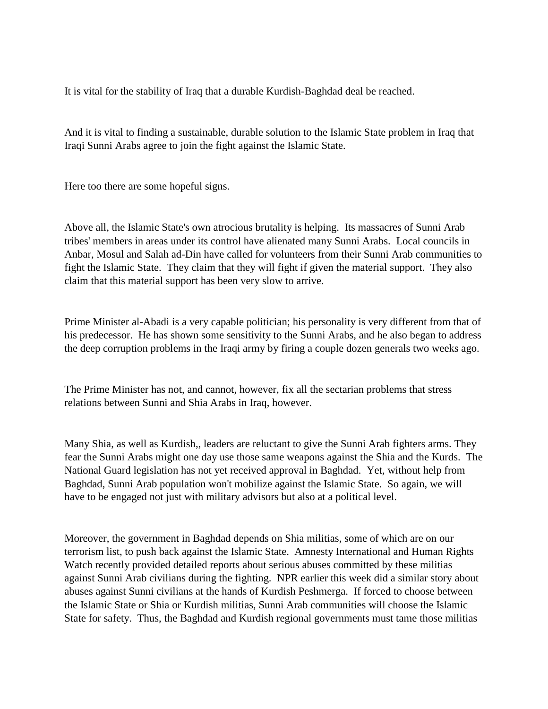It is vital for the stability of Iraq that a durable Kurdish-Baghdad deal be reached.

And it is vital to finding a sustainable, durable solution to the Islamic State problem in Iraq that Iraqi Sunni Arabs agree to join the fight against the Islamic State.

Here too there are some hopeful signs.

Above all, the Islamic State's own atrocious brutality is helping. Its massacres of Sunni Arab tribes' members in areas under its control have alienated many Sunni Arabs. Local councils in Anbar, Mosul and Salah ad-Din have called for volunteers from their Sunni Arab communities to fight the Islamic State. They claim that they will fight if given the material support. They also claim that this material support has been very slow to arrive.

Prime Minister al-Abadi is a very capable politician; his personality is very different from that of his predecessor. He has shown some sensitivity to the Sunni Arabs, and he also began to address the deep corruption problems in the Iraqi army by firing a couple dozen generals two weeks ago.

The Prime Minister has not, and cannot, however, fix all the sectarian problems that stress relations between Sunni and Shia Arabs in Iraq, however.

Many Shia, as well as Kurdish,, leaders are reluctant to give the Sunni Arab fighters arms. They fear the Sunni Arabs might one day use those same weapons against the Shia and the Kurds. The National Guard legislation has not yet received approval in Baghdad. Yet, without help from Baghdad, Sunni Arab population won't mobilize against the Islamic State. So again, we will have to be engaged not just with military advisors but also at a political level.

Moreover, the government in Baghdad depends on Shia militias, some of which are on our terrorism list, to push back against the Islamic State. Amnesty International and Human Rights Watch recently provided detailed reports about serious abuses committed by these militias against Sunni Arab civilians during the fighting. NPR earlier this week did a similar story about abuses against Sunni civilians at the hands of Kurdish Peshmerga. If forced to choose between the Islamic State or Shia or Kurdish militias, Sunni Arab communities will choose the Islamic State for safety. Thus, the Baghdad and Kurdish regional governments must tame those militias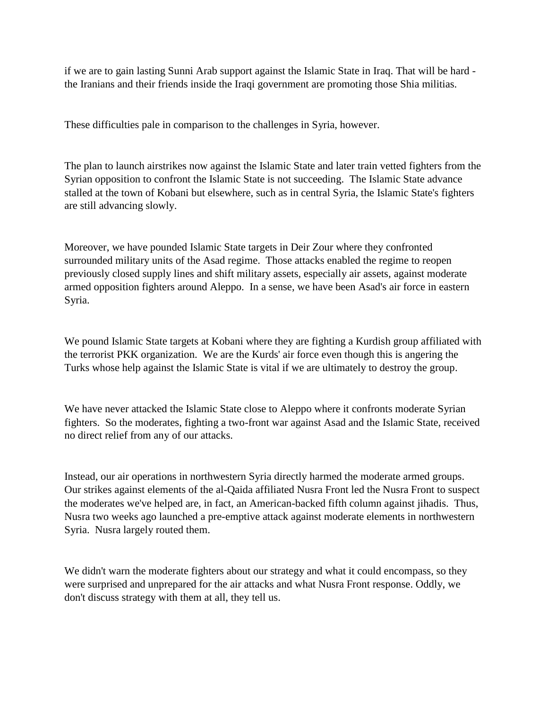if we are to gain lasting Sunni Arab support against the Islamic State in Iraq. That will be hard the Iranians and their friends inside the Iraqi government are promoting those Shia militias.

These difficulties pale in comparison to the challenges in Syria, however.

The plan to launch airstrikes now against the Islamic State and later train vetted fighters from the Syrian opposition to confront the Islamic State is not succeeding. The Islamic State advance stalled at the town of Kobani but elsewhere, such as in central Syria, the Islamic State's fighters are still advancing slowly.

Moreover, we have pounded Islamic State targets in Deir Zour where they confronted surrounded military units of the Asad regime. Those attacks enabled the regime to reopen previously closed supply lines and shift military assets, especially air assets, against moderate armed opposition fighters around Aleppo. In a sense, we have been Asad's air force in eastern Syria.

We pound Islamic State targets at Kobani where they are fighting a Kurdish group affiliated with the terrorist PKK organization. We are the Kurds' air force even though this is angering the Turks whose help against the Islamic State is vital if we are ultimately to destroy the group.

We have never attacked the Islamic State close to Aleppo where it confronts moderate Syrian fighters. So the moderates, fighting a two-front war against Asad and the Islamic State, received no direct relief from any of our attacks.

Instead, our air operations in northwestern Syria directly harmed the moderate armed groups. Our strikes against elements of the al-Qaida affiliated Nusra Front led the Nusra Front to suspect the moderates we've helped are, in fact, an American-backed fifth column against jihadis. Thus, Nusra two weeks ago launched a pre-emptive attack against moderate elements in northwestern Syria. Nusra largely routed them.

We didn't warn the moderate fighters about our strategy and what it could encompass, so they were surprised and unprepared for the air attacks and what Nusra Front response. Oddly, we don't discuss strategy with them at all, they tell us.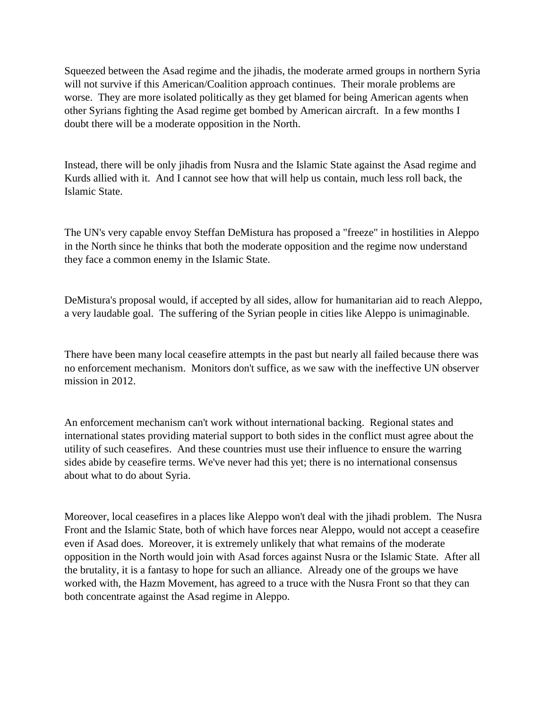Squeezed between the Asad regime and the jihadis, the moderate armed groups in northern Syria will not survive if this American/Coalition approach continues. Their morale problems are worse. They are more isolated politically as they get blamed for being American agents when other Syrians fighting the Asad regime get bombed by American aircraft. In a few months I doubt there will be a moderate opposition in the North.

Instead, there will be only jihadis from Nusra and the Islamic State against the Asad regime and Kurds allied with it. And I cannot see how that will help us contain, much less roll back, the Islamic State.

The UN's very capable envoy Steffan DeMistura has proposed a "freeze" in hostilities in Aleppo in the North since he thinks that both the moderate opposition and the regime now understand they face a common enemy in the Islamic State.

DeMistura's proposal would, if accepted by all sides, allow for humanitarian aid to reach Aleppo, a very laudable goal. The suffering of the Syrian people in cities like Aleppo is unimaginable.

There have been many local ceasefire attempts in the past but nearly all failed because there was no enforcement mechanism. Monitors don't suffice, as we saw with the ineffective UN observer mission in 2012.

An enforcement mechanism can't work without international backing. Regional states and international states providing material support to both sides in the conflict must agree about the utility of such ceasefires. And these countries must use their influence to ensure the warring sides abide by ceasefire terms. We've never had this yet; there is no international consensus about what to do about Syria.

Moreover, local ceasefires in a places like Aleppo won't deal with the jihadi problem. The Nusra Front and the Islamic State, both of which have forces near Aleppo, would not accept a ceasefire even if Asad does. Moreover, it is extremely unlikely that what remains of the moderate opposition in the North would join with Asad forces against Nusra or the Islamic State. After all the brutality, it is a fantasy to hope for such an alliance. Already one of the groups we have worked with, the Hazm Movement, has agreed to a truce with the Nusra Front so that they can both concentrate against the Asad regime in Aleppo.